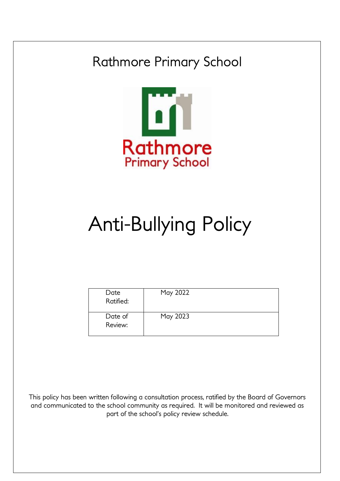## Rathmore Primary School



# Anti-Bullying Policy

| Date<br>Ratified:  | May 2022 |  |
|--------------------|----------|--|
| Date of<br>Review: | May 2023 |  |

This policy has been written following a consultation process, ratified by the Board of Governors and communicated to the school community as required. It will be monitored and reviewed as part of the school's policy review schedule.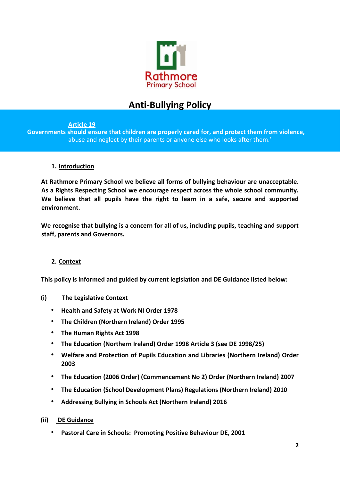

### **Anti-Bullying Policy**

#### **Article 19**

**Governments should ensure that children are properly cared for, and protect them from violence,**  abuse and neglect by their parents or anyone else who looks after them.'

#### **1. Introduction**

**At Rathmore Primary School we believe all forms of bullying behaviour are unacceptable. As a Rights Respecting School we encourage respect across the whole school community. We believe that all pupils have the right to learn in a safe, secure and supported environment.** 

**We recognise that bullying is a concern for all of us, including pupils, teaching and support staff, parents and Governors.** 

#### **2. Context**

**This policy is informed and guided by current legislation and DE Guidance listed below:** 

#### **(i) The Legislative Context**

- **Health and Safety at Work NI Order 1978**
- **The Children (Northern Ireland) Order 1995**
- **The Human Rights Act 1998**
- **The Education (Northern Ireland) Order 1998 Article 3 (see DE 1998/25)**
- **Welfare and Protection of Pupils Education and Libraries (Northern Ireland) Order 2003**
- **The Education (2006 Order) (Commencement No 2) Order (Northern Ireland) 2007**
- **The Education (School Development Plans) Regulations (Northern Ireland) 2010**
- **Addressing Bullying in Schools Act (Northern Ireland) 2016**

#### **(ii) DE Guidance**

• **Pastoral Care in Schools: Promoting Positive Behaviour DE, 2001**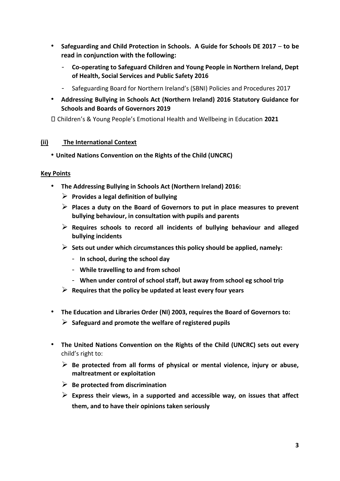- **Safeguarding and Child Protection in Schools. A Guide for Schools DE 2017 to be read in conjunction with the following:** 
	- **Co-operating to Safeguard Children and Young People in Northern Ireland, Dept of Health, Social Services and Public Safety 2016**
	- Safeguarding Board for Northern Ireland's (SBNI) Policies and Procedures 2017
- **Addressing Bullying in Schools Act (Northern Ireland) 2016 Statutory Guidance for Schools and Boards of Governors 2019**

Children's & Young People's Emotional Health and Wellbeing in Education **2021** 

#### **(ii) The International Context**

#### • **United Nations Convention on the Rights of the Child (UNCRC)**

#### **Key Points**

- **The Addressing Bullying in Schools Act (Northern Ireland) 2016:** 
	- ➢ **Provides a legal definition of bullying**
	- ➢ **Places a duty on the Board of Governors to put in place measures to prevent bullying behaviour, in consultation with pupils and parents**
	- ➢ **Requires schools to record all incidents of bullying behaviour and alleged bullying incidents**
	- ➢ **Sets out under which circumstances this policy should be applied, namely:** 
		- **In school, during the school day**
		- **While travelling to and from school**
		- **When under control of school staff, but away from school eg school trip**
	- ➢ **Requires that the policy be updated at least every four years**
- **The Education and Libraries Order (NI) 2003, requires the Board of Governors to:** 
	- ➢ **Safeguard and promote the welfare of registered pupils**
- **The United Nations Convention on the Rights of the Child (UNCRC) sets out every**  child's right to:
	- ➢ **Be protected from all forms of physical or mental violence, injury or abuse, maltreatment or exploitation**
	- ➢ **Be protected from discrimination**
	- ➢ **Express their views, in a supported and accessible way, on issues that affect them, and to have their opinions taken seriously**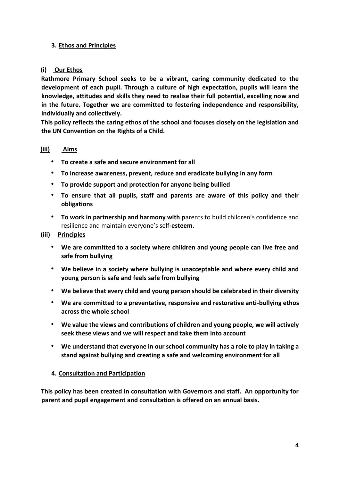#### **3. Ethos and Principles**

#### **(i) Our Ethos**

**Rathmore Primary School seeks to be a vibrant, caring community dedicated to the development of each pupil. Through a culture of high expectation, pupils will learn the knowledge, attitudes and skills they need to realise their full potential, excelling now and in the future. Together we are committed to fostering independence and responsibility, individually and collectively.** 

**This policy reflects the caring ethos of the school and focuses closely on the legislation and the UN Convention on the Rights of a Child.** 

#### **(iii) Aims**

- **To create a safe and secure environment for all**
- **To increase awareness, prevent, reduce and eradicate bullying in any form**
- **To provide support and protection for anyone being bullied**
- **To ensure that all pupils, staff and parents are aware of this policy and their obligations**
- **To work in partnership and harmony with p**arents to build children's confidence and resilience and maintain everyone's self**-esteem.**

#### **(iii) Principles**

- **We are committed to a society where children and young people can live free and safe from bullying**
- **We believe in a society where bullying is unacceptable and where every child and young person is safe and feels safe from bullying**
- **We believe that every child and young person should be celebrated in their diversity**
- **We are committed to a preventative, responsive and restorative anti-bullying ethos across the whole school**
- **We value the views and contributions of children and young people, we will actively seek these views and we will respect and take them into account**
- **We understand that everyone in our school community has a role to play in taking a stand against bullying and creating a safe and welcoming environment for all**

#### **4. Consultation and Participation**

**This policy has been created in consultation with Governors and staff. An opportunity for parent and pupil engagement and consultation is offered on an annual basis.**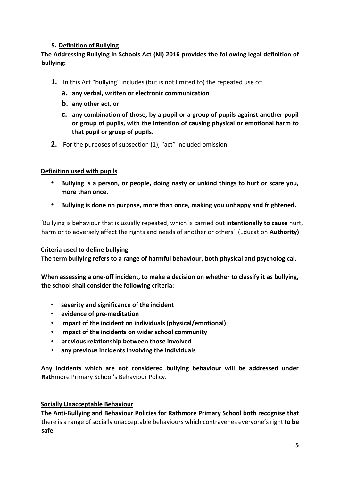#### **5. Definition of Bullying**

#### **The Addressing Bullying in Schools Act (NI) 2016 provides the following legal definition of bullying:**

- **1.** In this Act "bullying" includes (but is not limited to) the repeated use of:
	- **a. any verbal, written or electronic communication**
	- **b. any other act, or**
	- **c. any combination of those, by a pupil or a group of pupils against another pupil or group of pupils, with the intention of causing physical or emotional harm to that pupil or group of pupils.**
- **2.** For the purposes of subsection (1), "act" included omission.

#### **Definition used with pupils**

- **Bullying is a person, or people, doing nasty or unkind things to hurt or scare you, more than once.**
- **Bullying is done on purpose, more than once, making you unhappy and frightened.**

'Bullying is behaviour that is usually repeated, which is carried out in**tentionally to cause** hurt, harm or to adversely affect the rights and needs of another or others' (Education **Authority)** 

#### **Criteria used to define bullying**

**The term bullying refers to a range of harmful behaviour, both physical and psychological.** 

**When assessing a one-off incident, to make a decision on whether to classify it as bullying, the school shall consider the following criteria:** 

- **severity and significance of the incident**
- **evidence of pre-meditation**
- **impact of the incident on individuals (physical/emotional)**
- **impact of the incidents on wider school community**
- **previous relationship between those involved**
- **any previous incidents involving the individuals**

**Any incidents which are not considered bullying behaviour will be addressed under Rath**more Primary School's Behaviour Policy.

#### **Socially Unacceptable Behaviour**

**The Anti-Bullying and Behaviour Policies for Rathmore Primary School both recognise that**  there is a range of socially unacceptable behaviours which contravenes everyone's right t**o be safe.**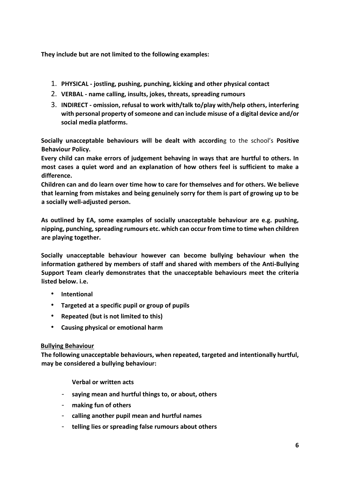**They include but are not limited to the following examples:** 

- 1. **PHYSICAL - jostling, pushing, punching, kicking and other physical contact**
- 2. **VERBAL - name calling, insults, jokes, threats, spreading rumours**
- 3. **INDIRECT - omission, refusal to work with/talk to/play with/help others, interfering with personal property of someone and can include misuse of a digital device and/or social media platforms.**

**Socially unacceptable behaviours will be dealt with accordin**g to the school's **Positive Behaviour Policy.** 

**Every child can make errors of judgement behaving in ways that are hurtful to others. In most cases a quiet word and an explanation of how others feel is sufficient to make a difference.** 

**Children can and do learn over time how to care for themselves and for others. We believe that learning from mistakes and being genuinely sorry for them is part of growing up to be a socially well-adjusted person.** 

**As outlined by EA, some examples of socially unacceptable behaviour are e.g. pushing, nipping, punching, spreading rumours etc. which can occur from time to time when children are playing together.** 

**Socially unacceptable behaviour however can become bullying behaviour when the information gathered by members of staff and shared with members of the Anti-Bullying Support Team clearly demonstrates that the unacceptable behaviours meet the criteria listed below. i.e.** 

- **Intentional**
- **Targeted at a specific pupil or group of pupils**
- **Repeated (but is not limited to this)**
- **Causing physical or emotional harm**

#### **Bullying Behaviour**

**The following unacceptable behaviours, when repeated, targeted and intentionally hurtful, may be considered a bullying behaviour:** 

**Verbal or written acts** 

- **saying mean and hurtful things to, or about, others**
- **making fun of others**
- **calling another pupil mean and hurtful names**
- **telling lies or spreading false rumours about others**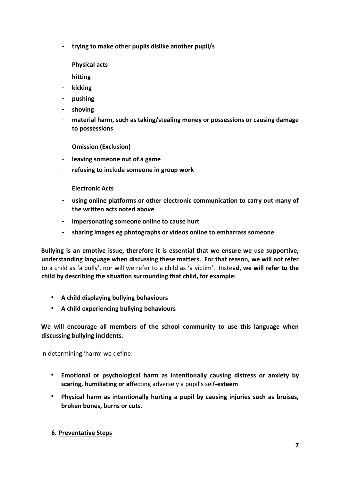- **trying to make other pupils dislike another pupil/s** 

**Physical acts** 

- **hitting**
- **kicking**
- **pushing**
- **shoving**
- **material harm, such as taking/stealing money or possessions or causing damage to possessions**

**Omission (Exclusion)** 

- **leaving someone out of a game**
- **refusing to include someone in group work**

**Electronic Acts** 

- **using online platforms or other electronic communication to carry out many of the written acts noted above**
- **impersonating someone online to cause hurt**
- **sharing images eg photographs or videos online to embarrass someone**

**Bullying is an emotive issue, therefore it is essential that we ensure we use supportive, understanding language when discussing these matters. For that reason, we will not refer**  to a child as 'a bully', nor will we refer to a child as 'a victim'. Instea**d, we will refer to the child by describing the situation surrounding that child, for example:** 

- **A child displaying bullying behaviours**
- **A child experiencing bullying behaviours**

**We will encourage all members of the school community to use this language when discussing bullying incidents.** 

In determining 'harm' we define:

- **Emotional or psychological harm as intentionally causing distress or anxiety by scaring, humiliating or af**fecting adversely a pupil's self**-esteem**
- **Physical harm as intentionally hurting a pupil by causing injuries such as bruises, broken bones, burns or cuts.**

#### **6. Preventative Steps**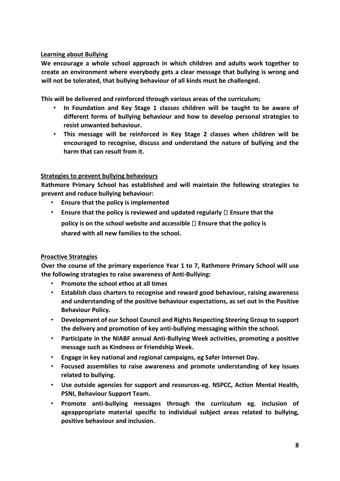#### **Learning about Bullying**

**We encourage a whole school approach in which children and adults work together to create an environment where everybody gets a clear message that bullying is wrong and will not be tolerated, that bullying behaviour of all kinds must be challenged.** 

**This will be delivered and reinforced through various areas of the curriculum;** 

- **In Foundation and Key Stage 1 classes children will be taught to be aware of different forms of bullying behaviour and how to develop personal strategies to resist unwanted behaviour.**
- **This message will be reinforced in Key Stage 2 classes when children will be encouraged to recognise, discuss and understand the nature of bullying and the harm that can result from it.**

#### **Strategies to prevent bullying behaviours**

**Rathmore Primary School has established and will maintain the following strategies to prevent and reduce bullying behaviour:** 

- **Ensure that the policy is implemented**
- **Ensure that the policy is reviewed and updated regularly**  $\Box$  **Ensure that the policy is on the school website and accessible Ensure that the policy is shared with all new families to the school.**

#### **Proactive Strategies**

**Over the course of the primary experience Year 1 to 7, Rathmore Primary School will use the following strategies to raise awareness of Anti-Bullying:** 

- **Promote the school ethos at all times**
- **Establish class charters to recognise and reward good behaviour, raising awareness and understanding of the positive behaviour expectations, as set out in the Positive Behaviour Policy.**
- **Development of our School Council and Rights Respecting Steering Group to support the delivery and promotion of key anti-bullying messaging within the school.**
- **Participate in the NIABF annual Anti-Bullying Week activities, promoting a positive message such as Kindness or Friendship Week.**
- **Engage in key national and regional campaigns, eg Safer Internet Day.**
- **Focused assemblies to raise awareness and promote understanding of key issues related to bullying.**
- **Use outside agencies for support and resources-eg. NSPCC, Action Mental Health, PSNI, Behaviour Support Team.**
- **Promote anti-bullying messages through the curriculum eg. inclusion of ageappropriate material specific to individual subject areas related to bullying, positive behaviour and inclusion.**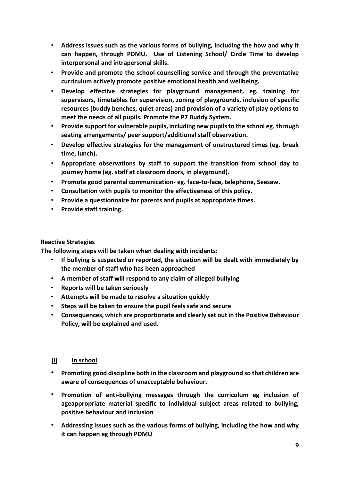- **Address issues such as the various forms of bullying, including the how and why it can happen, through PDMU. Use of Listening School/ Circle Time to develop interpersonal and intrapersonal skills.**
- **Provide and promote the school counselling service and through the preventative curriculum actively promote positive emotional health and wellbeing.**
- **Develop effective strategies for playground management, eg. training for supervisors, timetables for supervision, zoning of playgrounds, inclusion of specific resources (buddy benches, quiet areas) and provision of a variety of play options to meet the needs of all pupils. Promote the P7 Buddy System.**
- **Provide support for vulnerable pupils, including new pupils to the school eg. through seating arrangements/ peer support/additional staff observation.**
- **Develop effective strategies for the management of unstructured times (eg. break time, lunch).**
- **Appropriate observations by staff to support the transition from school day to journey home (eg. staff at classroom doors, in playground).**
- **Promote good parental communication- eg. face-to-face, telephone, Seesaw.**
- **Consultation with pupils to monitor the effectiveness of this policy.**
- **Provide a questionnaire for parents and pupils at appropriate times.**
- **Provide staff training.**

#### **Reactive Strategies**

**The following steps will be taken when dealing with incidents:** 

- **If bullying is suspected or reported, the situation will be dealt with immediately by the member of staff who has been approached**
- **A member of staff will respond to any claim of alleged bullying**
- **Reports will be taken seriously**
- **Attempts will be made to resolve a situation quickly**
- **Steps will be taken to ensure the pupil feels safe and secure**
- **Consequences, which are proportionate and clearly set out in the Positive Behaviour Policy, will be explained and used.**

#### **(i) In school**

- **Promoting good discipline both in the classroom and playground so that children are aware of consequences of unacceptable behaviour.**
- **Promotion of anti-bullying messages through the curriculum eg inclusion of ageappropriate material specific to individual subject areas related to bullying, positive behaviour and inclusion**
- **Addressing issues such as the various forms of bullying, including the how and why it can happen eg through PDMU**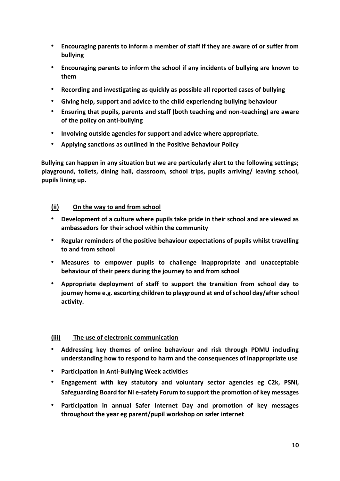- **Encouraging parents to inform a member of staff if they are aware of or suffer from bullying**
- **Encouraging parents to inform the school if any incidents of bullying are known to them**
- **Recording and investigating as quickly as possible all reported cases of bullying**
- **Giving help, support and advice to the child experiencing bullying behaviour**
- **Ensuring that pupils, parents and staff (both teaching and non-teaching) are aware of the policy on anti-bullying**
- **Involving outside agencies for support and advice where appropriate.**
- **Applying sanctions as outlined in the Positive Behaviour Policy**

**Bullying can happen in any situation but we are particularly alert to the following settings; playground, toilets, dining hall, classroom, school trips, pupils arriving/ leaving school, pupils lining up.** 

#### **(ii) On the way to and from school**

- **Development of a culture where pupils take pride in their school and are viewed as ambassadors for their school within the community**
- **Regular reminders of the positive behaviour expectations of pupils whilst travelling to and from school**
- **Measures to empower pupils to challenge inappropriate and unacceptable behaviour of their peers during the journey to and from school**
- **Appropriate deployment of staff to support the transition from school day to journey home e.g. escorting children to playground at end of school day/after school activity.**

#### **(iii) The use of electronic communication**

- **Addressing key themes of online behaviour and risk through PDMU including understanding how to respond to harm and the consequences of inappropriate use**
- **Participation in Anti-Bullying Week activities**
- **Engagement with key statutory and voluntary sector agencies eg C2k, PSNI, Safeguarding Board for NI e-safety Forum to support the promotion of key messages**
- **Participation in annual Safer Internet Day and promotion of key messages throughout the year eg parent/pupil workshop on safer internet**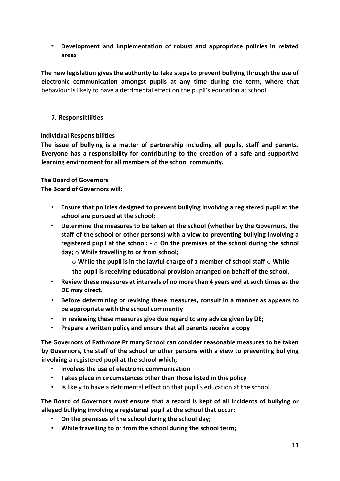• **Development and implementation of robust and appropriate policies in related areas** 

**The new legislation gives the authority to take steps to prevent bullying through the use of electronic communication amongst pupils at any time during the term, where that**  behaviour is likely to have a detrimental effect on the pupil's education at school.

#### **7. Responsibilities**

#### **Individual Responsibilities**

**The issue of bullying is a matter of partnership including all pupils, staff and parents. Everyone has a responsibility for contributing to the creation of a safe and supportive learning environment for all members of the school community.** 

#### **The Board of Governors**

**The Board of Governors will:** 

- **Ensure that policies designed to prevent bullying involving a registered pupil at the school are pursued at the school;**
- **Determine the measures to be taken at the school (whether by the Governors, the staff of the school or other persons) with a view to preventing bullying involving a registered pupil at the school: -** o **On the premises of the school during the school day;** o **While travelling to or from school;**

o **While the pupil is in the lawful charge of a member of school staff** o **While the pupil is receiving educational provision arranged on behalf of the school.** 

- **Review these measures at intervals of no more than 4 years and at such times as the DE may direct.**
- **Before determining or revising these measures, consult in a manner as appears to be appropriate with the school community**
- **In reviewing these measures give due regard to any advice given by DE;**
- **Prepare a written policy and ensure that all parents receive a copy**

**The Governors of Rathmore Primary School can consider reasonable measures to be taken by Governors, the staff of the school or other persons with a view to preventing bullying involving a registered pupil at the school which;** 

- **Involves the use of electronic communication**
- **Takes place in circumstances other than those listed in this policy**
- **Is** likely to have a detrimental effect on that pupil's education at the school.

**The Board of Governors must ensure that a record is kept of all incidents of bullying or alleged bullying involving a registered pupil at the school that occur:** 

- **On the premises of the school during the school day;**
- **While travelling to or from the school during the school term;**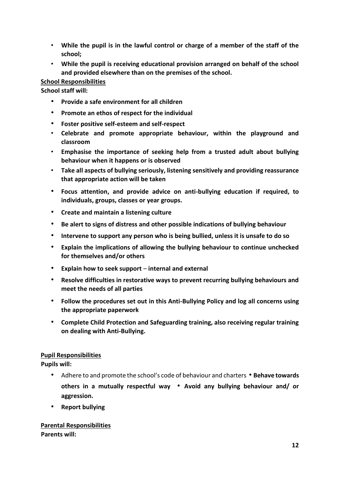- **While the pupil is in the lawful control or charge of a member of the staff of the school;**
- **While the pupil is receiving educational provision arranged on behalf of the school and provided elsewhere than on the premises of the school.**

#### **School Responsibilities**

**School staff will:** 

- **Provide a safe environment for all children**
- **Promote an ethos of respect for the individual**
- **Foster positive self-esteem and self-respect**
- **Celebrate and promote appropriate behaviour, within the playground and classroom**
- **Emphasise the importance of seeking help from a trusted adult about bullying behaviour when it happens or is observed**
- **Take all aspects of bullying seriously, listening sensitively and providing reassurance that appropriate action will be taken**
- **Focus attention, and provide advice on anti-bullying education if required, to individuals, groups, classes or year groups.**
- **Create and maintain a listening culture**
- **Be alert to signs of distress and other possible indications of bullying behaviour**
- **Intervene to support any person who is being bullied, unless it is unsafe to do so**
- **Explain the implications of allowing the bullying behaviour to continue unchecked for themselves and/or others**
- **Explain how to seek support internal and external**
- **Resolve difficulties in restorative ways to prevent recurring bullying behaviours and meet the needs of all parties**
- **Follow the procedures set out in this Anti-Bullying Policy and log all concerns using the appropriate paperwork**
- **Complete Child Protection and Safeguarding training, also receiving regular training on dealing with Anti-Bullying.**

#### **Pupil Responsibilities**

**Pupils will:** 

- Adhere to and promote the school's code of behaviour and charters **Behave towards others in a mutually respectful way** • **Avoid any bullying behaviour and/ or aggression.**
- **Report bullying**

#### **Parental Responsibilities Parents will:**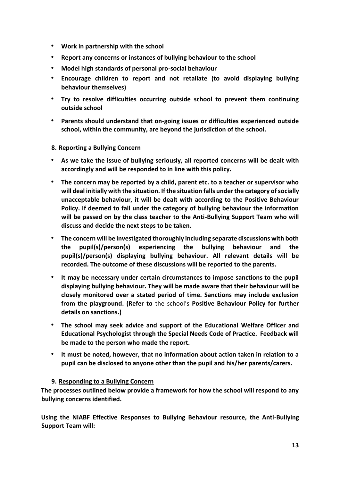- **Work in partnership with the school**
- **Report any concerns or instances of bullying behaviour to the school**
- **Model high standards of personal pro-social behaviour**
- **Encourage children to report and not retaliate (to avoid displaying bullying behaviour themselves)**
- **Try to resolve difficulties occurring outside school to prevent them continuing outside school**
- **Parents should understand that on-going issues or difficulties experienced outside school, within the community, are beyond the jurisdiction of the school.**

#### **8. Reporting a Bullying Concern**

- **As we take the issue of bullying seriously, all reported concerns will be dealt with accordingly and will be responded to in line with this policy.**
- **The concern may be reported by a child, parent etc. to a teacher or supervisor who will deal initially with the situation. If the situation falls under the category of socially unacceptable behaviour, it will be dealt with according to the Positive Behaviour Policy. If deemed to fall under the category of bullying behaviour the information will be passed on by the class teacher to the Anti-Bullying Support Team who will discuss and decide the next steps to be taken.**
- **The concern will be investigated thoroughly including separate discussions with both the pupil(s)/person(s) experiencing the bullying behaviour and the pupil(s)/person(s) displaying bullying behaviour. All relevant details will be recorded. The outcome of these discussions will be reported to the parents.**
- **It may be necessary under certain circumstances to impose sanctions to the pupil displaying bullying behaviour. They will be made aware that their behaviour will be closely monitored over a stated period of time. Sanctions may include exclusion from the playground. (Refer to** the school's **Positive Behaviour Policy for further details on sanctions.)**
- **The school may seek advice and support of the Educational Welfare Officer and Educational Psychologist through the Special Needs Code of Practice. Feedback will be made to the person who made the report.**
- **It must be noted, however, that no information about action taken in relation to a pupil can be disclosed to anyone other than the pupil and his/her parents/carers.**

#### **9. Responding to a Bullying Concern**

**The processes outlined below provide a framework for how the school will respond to any bullying concerns identified.** 

**Using the NIABF Effective Responses to Bullying Behaviour resource, the Anti-Bullying Support Team will:**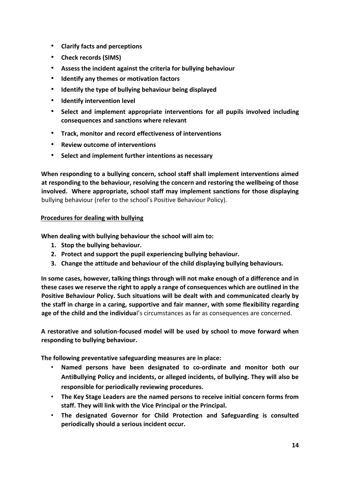- **Clarify facts and perceptions**
- **Check records (SIMS)**
- **Assess the incident against the criteria for bullying behaviour**
- **Identify any themes or motivation factors**
- **Identify the type of bullying behaviour being displayed**
- **Identify intervention level**
- **Select and implement appropriate interventions for all pupils involved including consequences and sanctions where relevant**
- **Track, monitor and record effectiveness of interventions**
- **Review outcome of interventions**
- **Select and implement further intentions as necessary**

**When responding to a bullying concern, school staff shall implement interventions aimed at responding to the behaviour, resolving the concern and restoring the wellbeing of those involved. Where appropriate, school staff may implement sanctions for those displaying**  bullying behaviour (refer to the school's Positive Behaviour Policy).

#### **Procedures for dealing with bullying**

**When dealing with bullying behaviour the school will aim to:** 

- **1. Stop the bullying behaviour.**
- **2. Protect and support the pupil experiencing bullying behaviour.**
- **3. Change the attitude and behaviour of the child displaying bullying behaviours.**

**In some cases, however, talking things through will not make enough of a difference and in these cases we reserve the right to apply a range of consequences which are outlined in the Positive Behaviour Policy. Such situations will be dealt with and communicated clearly by the staff in charge in a caring, supportive and fair manner, with some flexibility regarding age of the child and the individua**l's circumstances as far as consequences are concerned.

**A restorative and solution-focused model will be used by school to move forward when responding to bullying behaviour.** 

**The following preventative safeguarding measures are in place:** 

- **Named persons have been designated to co-ordinate and monitor both our AntiBullying Policy and incidents, or alleged incidents, of bullying. They will also be responsible for periodically reviewing procedures.**
- **The Key Stage Leaders are the named persons to receive initial concern forms from staff. They will link with the Vice Principal or the Principal.**
- **The designated Governor for Child Protection and Safeguarding is consulted periodically should a serious incident occur.**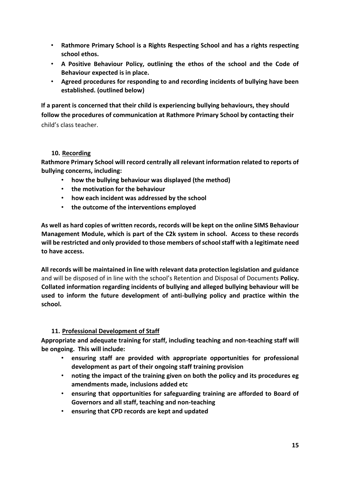- **Rathmore Primary School is a Rights Respecting School and has a rights respecting school ethos.**
- **A Positive Behaviour Policy, outlining the ethos of the school and the Code of Behaviour expected is in place.**
- **Agreed procedures for responding to and recording incidents of bullying have been established. (outlined below)**

**If a parent is concerned that their child is experiencing bullying behaviours, they should follow the procedures of communication at Rathmore Primary School by contacting their**  child's class teacher.

#### **10. Recording**

**Rathmore Primary School will record centrally all relevant information related to reports of bullying concerns, including:** 

- **how the bullying behaviour was displayed (the method)**
- **the motivation for the behaviour**
- **how each incident was addressed by the school**
- **the outcome of the interventions employed**

**As well as hard copies of written records, records will be kept on the online SIMS Behaviour Management Module, which is part of the C2k system in school. Access to these records will be restricted and only provided to those members of school staff with a legitimate need to have access.** 

**All records will be maintained in line with relevant data protection legislation and guidance**  and will be disposed of in line with the school's Retention and Disposal of Documents **Policy. Collated information regarding incidents of bullying and alleged bullying behaviour will be used to inform the future development of anti-bullying policy and practice within the school.** 

#### **11. Professional Development of Staff**

**Appropriate and adequate training for staff, including teaching and non-teaching staff will be ongoing. This will include:** 

- **ensuring staff are provided with appropriate opportunities for professional development as part of their ongoing staff training provision**
- **noting the impact of the training given on both the policy and its procedures eg amendments made, inclusions added etc**
- **ensuring that opportunities for safeguarding training are afforded to Board of Governors and all staff, teaching and non-teaching**
- **ensuring that CPD records are kept and updated**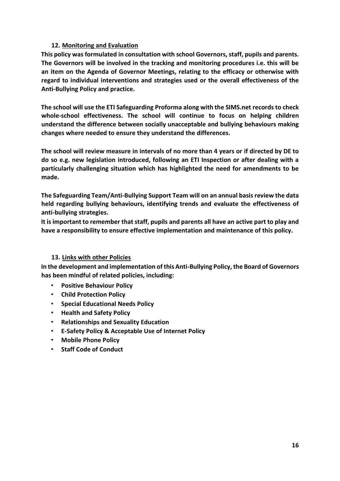#### **12. Monitoring and Evaluation**

**This policy was formulated in consultation with school Governors, staff, pupils and parents. The Governors will be involved in the tracking and monitoring procedures i.e. this will be an item on the Agenda of Governor Meetings, relating to the efficacy or otherwise with regard to individual interventions and strategies used or the overall effectiveness of the Anti-Bullying Policy and practice.** 

**The school will use the ETI Safeguarding Proforma along with the SIMS.net records to check whole-school effectiveness. The school will continue to focus on helping children understand the difference between socially unacceptable and bullying behaviours making changes where needed to ensure they understand the differences.** 

**The school will review measure in intervals of no more than 4 years or if directed by DE to do so e.g. new legislation introduced, following an ETI Inspection or after dealing with a particularly challenging situation which has highlighted the need for amendments to be made.** 

**The Safeguarding Team/Anti-Bullying Support Team will on an annual basis review the data held regarding bullying behaviours, identifying trends and evaluate the effectiveness of anti-bullying strategies.** 

**It is important to remember that staff, pupils and parents all have an active part to play and have a responsibility to ensure effective implementation and maintenance of this policy.** 

#### **13. Links with other Policies**

**In the development and implementation of this Anti-Bullying Policy, the Board of Governors has been mindful of related policies, including:** 

- **Positive Behaviour Policy**
- **Child Protection Policy**
- **Special Educational Needs Policy**
- **Health and Safety Policy**
- **Relationships and Sexuality Education**
- **E-Safety Policy & Acceptable Use of Internet Policy**
- **Mobile Phone Policy**
- **Staff Code of Conduct**